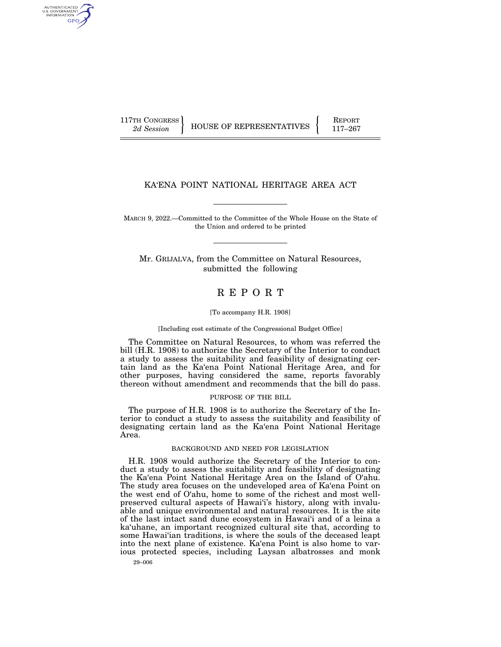AUTHENTICATED<br>U.S. GOVERNMENT<br>INFORMATION GPO

117TH CONGRESS HOUSE OF REPRESENTATIVES **REPORT** 117-267

### KA'ENA POINT NATIONAL HERITAGE AREA ACT

MARCH 9, 2022.—Committed to the Committee of the Whole House on the State of the Union and ordered to be printed

Mr. GRIJALVA, from the Committee on Natural Resources, submitted the following

# R E P O R T

#### [To accompany H.R. 1908]

#### [Including cost estimate of the Congressional Budget Office]

The Committee on Natural Resources, to whom was referred the bill (H.R. 1908) to authorize the Secretary of the Interior to conduct a study to assess the suitability and feasibility of designating certain land as the Ka'ena Point National Heritage Area, and for other purposes, having considered the same, reports favorably thereon without amendment and recommends that the bill do pass.

#### PURPOSE OF THE BILL

The purpose of H.R. 1908 is to authorize the Secretary of the Interior to conduct a study to assess the suitability and feasibility of designating certain land as the Ka'ena Point National Heritage Area.

#### BACKGROUND AND NEED FOR LEGISLATION

H.R. 1908 would authorize the Secretary of the Interior to conduct a study to assess the suitability and feasibility of designating the Ka'ena Point National Heritage Area on the Island of O'ahu. The study area focuses on the undeveloped area of Ka'ena Point on the west end of O'ahu, home to some of the richest and most wellpreserved cultural aspects of Hawai'i's history, along with invaluable and unique environmental and natural resources. It is the site of the last intact sand dune ecosystem in Hawai'i and of a leina a ka'uhane, an important recognized cultural site that, according to some Hawai'ian traditions, is where the souls of the deceased leapt into the next plane of existence. Ka'ena Point is also home to various protected species, including Laysan albatrosses and monk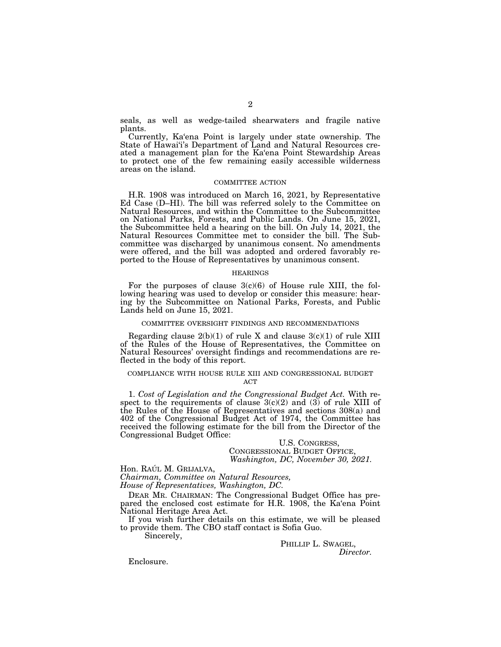seals, as well as wedge-tailed shearwaters and fragile native plants.

Currently, Ka'ena Point is largely under state ownership. The State of Hawai'i's Department of Land and Natural Resources created a management plan for the Ka'ena Point Stewardship Areas to protect one of the few remaining easily accessible wilderness areas on the island.

#### COMMITTEE ACTION

H.R. 1908 was introduced on March 16, 2021, by Representative Ed Case (D–HI). The bill was referred solely to the Committee on Natural Resources, and within the Committee to the Subcommittee on National Parks, Forests, and Public Lands. On June 15, 2021, the Subcommittee held a hearing on the bill. On July 14, 2021, the Natural Resources Committee met to consider the bill. The Subcommittee was discharged by unanimous consent. No amendments were offered, and the bill was adopted and ordered favorably reported to the House of Representatives by unanimous consent.

#### HEARINGS

For the purposes of clause  $3(c)(6)$  of House rule XIII, the following hearing was used to develop or consider this measure: hearing by the Subcommittee on National Parks, Forests, and Public Lands held on June 15, 2021.

### COMMITTEE OVERSIGHT FINDINGS AND RECOMMENDATIONS

Regarding clause  $2(b)(1)$  of rule X and clause  $3(c)(1)$  of rule XIII of the Rules of the House of Representatives, the Committee on Natural Resources' oversight findings and recommendations are reflected in the body of this report.

#### COMPLIANCE WITH HOUSE RULE XIII AND CONGRESSIONAL BUDGET **ACT**

1. *Cost of Legislation and the Congressional Budget Act.* With respect to the requirements of clause  $3(c)(2)$  and  $(3)$  of rule XIII of the Rules of the House of Representatives and sections 308(a) and 402 of the Congressional Budget Act of 1974, the Committee has received the following estimate for the bill from the Director of the Congressional Budget Office:

### U.S. CONGRESS, CONGRESSIONAL BUDGET OFFICE, *Washington, DC, November 30, 2021.*

Hon. RAÚL M. GRIJALVA,

*Chairman, Committee on Natural Resources, House of Representatives, Washington, DC.* 

DEAR MR. CHAIRMAN: The Congressional Budget Office has prepared the enclosed cost estimate for H.R. 1908, the Ka'ena Point National Heritage Area Act.

If you wish further details on this estimate, we will be pleased to provide them. The CBO staff contact is Sofia Guo.

Sincerely,

PHILLIP L. SWAGEL, *Director.* 

Enclosure.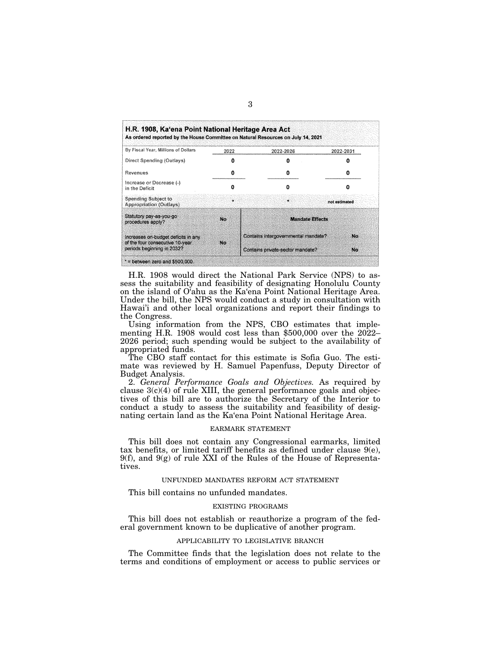| H.R. 1908, Ka'ena Point National Heritage Area Act                                                   |           | As ordered reported by the House Committee on Natural Resources on July 14, 2021 |               |
|------------------------------------------------------------------------------------------------------|-----------|----------------------------------------------------------------------------------|---------------|
| By Fiscal Year, Millions of Dollars                                                                  | 2022      | 2022-2026                                                                        | 2022-2031     |
| Direct Spending (Outlays)                                                                            |           | 0                                                                                |               |
| Revenues                                                                                             | 0         | o                                                                                |               |
| Increase or Decrease (-)<br>in the Deficit                                                           | n         | o                                                                                |               |
| Spending Subject to<br><b>Appropriation (Outlays)</b>                                                | ÷         | ÷                                                                                | not estimated |
| Statutory pay-as-you-go<br>procedures apply?                                                         | No        | <b>Mandate Effects</b>                                                           |               |
| Increases on-budget deficits in any<br>of the four consecutive 10-year<br>periods beginning in 2032? | <b>No</b> | Contains intergovernmental mandate?                                              | Mrs           |
|                                                                                                      |           | Contains private-sector mandate?                                                 | No.           |

H.R. 1908 would direct the National Park Service (NPS) to assess the suitability and feasibility of designating Honolulu County on the island of O'ahu as the Ka'ena Point National Heritage Area. Under the bill, the NPS would conduct a study in consultation with Hawai'i and other local organizations and report their findings to the Congress.

Using information from the NPS, CBO estimates that implementing H.R. 1908 would cost less than \$500,000 over the 2022– 2026 period; such spending would be subject to the availability of appropriated funds.

The CBO staff contact for this estimate is Sofia Guo. The estimate was reviewed by H. Samuel Papenfuss, Deputy Director of Budget Analysis.

2. *General Performance Goals and Objectives.* As required by clause  $3(c)(4)$  of rule XIII, the general performance goals and objectives of this bill are to authorize the Secretary of the Interior to conduct a study to assess the suitability and feasibility of designating certain land as the Ka'ena Point National Heritage Area.

#### EARMARK STATEMENT

This bill does not contain any Congressional earmarks, limited tax benefits, or limited tariff benefits as defined under clause 9(e), 9(f), and 9(g) of rule XXI of the Rules of the House of Representatives.

#### UNFUNDED MANDATES REFORM ACT STATEMENT

This bill contains no unfunded mandates.

#### EXISTING PROGRAMS

This bill does not establish or reauthorize a program of the federal government known to be duplicative of another program.

#### APPLICABILITY TO LEGISLATIVE BRANCH

The Committee finds that the legislation does not relate to the terms and conditions of employment or access to public services or